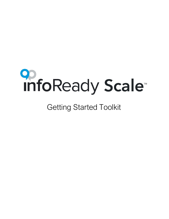

# Getting Started Toolkit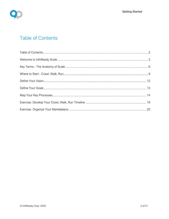<span id="page-1-0"></span>

# **Table of Contents**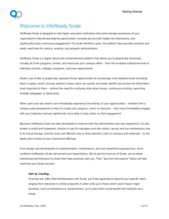

# <span id="page-2-0"></span>Welcome to InfoReady Scale

InfoReady Scale is designed to help higher education institutions drive and manage awareness of your organization's internal and external opportunities, increase and provide insight into interactions, and significantly boost continuous engagement. For Scale Workflow users, the platform also provides powerful and easily used tools for metrics, analysis, and program administration.

InfoReady Scale is a highly robust and comprehensive platform that allows you to graphically showcase virtually all of the programs, events, and resources your campus offers – from the broadest institutional level to individual schools, colleges, programs, and even departments.

Scale's use of *tiles* to graphically represent those opportunities at increasingly more detailed levels (including down to *apply, enroll*, and *pay* options) means users can quickly and easily identify and access the information most important to them – without the need for confusing drop-down boxes, continuous scrolling, searching multiple webpages, or dead ends.

When users and site visitors can immediately experience the entirety of your opportunities – whether from a campus-wide perspective or that of a single unit, program, event, or resource – they more immediately engage with your institution and are significantly more likely to take action on that engagement.

Because InfoReady Scale has been developed to improve both the administrator and user experience, it's also simple to install and implement, intuitive to use for managers and site visitors, secure and low maintenance due to its Cloud storage, and the most cost effective way to draw attention, both on-campus and externally – to the depth and richness of your institutional offerings.

From design and development to implementation, maintenance, and user experience perspectives, we're confident InfoReady's Scale will exceed your expectations. But to get the most out of Scale, we've asked institutional administrators to share their best practices with you. Their "tips from the experts" below will help maximize your Scale success.

#### *Start by Crawling…*

*Chances are, after initial familiarization with Scale, you'll see applications beyond your specific need – ranging from relevance to similar programs in sister units up to those which could impact major functions, such as admissions or advancement, up to ones which could benefit the institution as a whole.*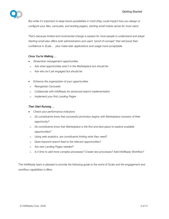

*But while it's important to keep future possibilities in mind (they could impact how you design or configure your tiles, carousels, and landing pages), starting small makes sense for most users.*

*That's because limited and incremental change is easiest for most people to understand and adopt. Starting small also offers both administrators and users "proof of concept" that will boost their confidence in Scale … plus make later applications and usage more acceptable.*

### *Once You're Walking …*

- *Streamline management opportunities*
- o *Ask what opportunities aren't in the Marketplace but should be*
- o *Ask who isn't yet engaged but should be*
- *Enhance the organization of your opportunities*
- o *Reorganize Carousels*
- o *Collaborate with InfoReady for advanced search implementation*
- o *Implement your first Landing Pages*

#### *Then Start Running …*

- *Check your performance indicators*
- o *Do constituents know that successful promotion begins with Marketplace inclusion of their opportunity?*
- o *Do constituents know that Marketplace is the first and best place to explore available opportunities?*
- o *Using web analytics, are constituents finding what they need?*
- o *Does keyword search lead to the relevant opportunities?*
- o *Are new Landing Pages needed?*
- o *Is it time to add more complex processes? Create new processes? Add InfoReady Workflow?*

The InfoReady team is pleased to provide the following guide to the world of Scale and the engagement and workflow capabilities it offers.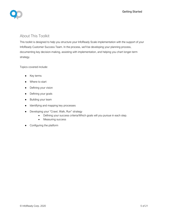

### About This Toolkit

This toolkit is designed to help you structure your InfoReady Scale implementation with the support of your InfoReady Customer Success Team. In the process, we'll be developing your planning process, documenting key decision-making, assisting with implementation, and helping you chart longer-term strategy.

Topics covered include:

- Key terms
- Where to start
- Defining your vision
- Defining your goals
- Building your team
- Identifying and mapping key processes
- Developing your "Crawl, Walk, Run" strategy
	- Defining your success criteria/Which goals will you pursue in each step.
	- Measuring success
- Configuring the platform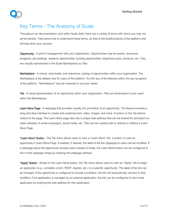

# <span id="page-5-0"></span>Key Terms - The Anatomy of Scale

Throughout our documentation, and within Scale itself, there are a variety of terms with which you may not yet be familiar. Take some time to understand these terms, as they're the building blocks of the platform and will help drive your success.

Opportunity - A point of engagement with your organization. Opportunities may be events, resources, programs, job postings, research opportunities, funding opportunities, blog/news posts, products, etc. They are visually represented in the Scale Marketplace as *Tiles*.

Marketplace - A robust, searchable, and interactive catalog of opportunities within your organization. The Marketplace is the default view for users of the platform. As with any of the features within the top navigation of the platform, "Marketplace" may be renamed to suit your needs.

Tile - A visual representation of an opportunity within your organization. Tiles are showcased to your users within the Marketplace.

Learn More Page - A webpage that provides visually rich promotion of an opportunity. The feature includes a drag and drop interface to create and customize text, video, images, and more. A button on the Tile directs visitors to the page. The Learn More page also has a unique web address that can be shared for promotion on other websites, in email campaigns, social media, etc. Tiles can be created with or without or without a Learn More Page.

"Learn More" Button - The Tile menu allows users to click a "Learn More" link, a button, to view an opportunity's Learn More Page, if enabled. If desired, the label of the link displayed to users can be modified. If a webpage about the opportunity already exists outside of Scale, the Learn More button can be configured to link to that webpage simply by entering the webpage address.

"Apply" Button - Similar to the Learn More button, the Tile menu allows users to click an "Apply" link to begin an application (e.g., complete a form, RSVP, register, etc.) to a specific opportunity. The label of the link can be changed. If the opportunity is configured to include a workflow, the link will automatically connect to that workflow; if the application is managed by an external application, the link can be configured to link to that application by entering the web address for that application.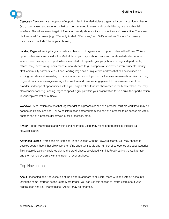#### Getting Started

Toolkit



Carousel - Carousels are groupings of opportunities in the Marketplace organized around a particular theme (e.g., topic, event, audience, etc.) that can be presented to users and scrolled through via a horizontal interface. This allows users to gain information quickly about similar opportunities and take action. There are platform-level Carousels (e.g., "Recently Added," "Favorites," and "All") as well as Custom Carousels you may create to include Tiles of your choosing.

Landing Pages – Landing Pages provide another form of organization of opportunities within Scale. While all opportunities are showcased in the Marketplace, you may wish to create and curate a dedicated location where users may explore opportunities associated with specific groups (schools, colleges, departments, offices, etc.), events (e.g., conferences), or audiences (e.g., prospective students, current students, faculty, staff, community partners, etc.). Each Landing Page has a unique web address that can be included on existing websites and in existing communications with which your constituencies are already familiar. Landing Pages allow you to leverage existing infrastructure and points of engagement to drive awareness of the broader landscape of opportunities within your organization that are showcased in the Marketplace. You may also consider offering Landing Pages to specific groups within your organization to help drive their participation in your implementation of Scale.

Workflow - A collection of steps that together define a process or part of a process. Multiple workflows may be connected ("daisy-chained"), allowing information gathered from one part of a process to be accessible within another part of a process (for review, other processes, etc.).

Search - In the Marketplace and within Landing Pages, users may refine opportunities of interest via keyword search.

Advanced Search - Within the Marketplace, in conjunction with the keyword search, you may choose to develop search facets that allow users to refine opportunities via any number of categories and subcategories. This feature is typically explored during the crawl-phase, developed with InfoReady during the walk-phase, and then refined overtime with the insight of user analytics.

### Top Navigation

About - If enabled, the About section of the platform appears to all users, those with and without accounts. Using the same interface as the Learn More Pages, you can use this section to inform users about your organization and your Marketplace. "About" may be renamed.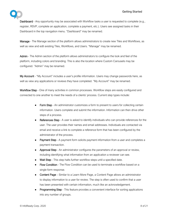

Dashboard - Any opportunity may be associated with Workflow tasks a user is requested to complete (e.g., register, RSVP, complete an application, complete a payment, etc.). Users see assigned tasks in their Dashboard in the top navigation menu. "Dashboard" may be renamed.

Manage - The Manage section of the platform allows administrators to create new Tiles and Workflows, as well as view and edit existing Tiles, Workflows, and Users. "Manage" may be renamed.

Admin - The Admin section of the platform allows administrators to configure the look and feel of the platform, including colors and branding. This is also the location where Custom Carousels may be configured. "Admin" may be renamed.

My Account - "My Account" includes a user's profile information. Users may change passwords here, as well as view any applications or reviews they have completed. "My Account" may be renamed.

Workflow Step - One of many activities in common processes. Workflow steps are easily configured and connected to one another to meet the needs of a clients' process. Current step types include:

- Form Step An administrator customizes a form to present to users for collecting certain information. Users complete and submit the information. Information can then drive other steps of a process.
- References Step A user is asked to identify individuals who can provide references for the user. The user provides their names and email addresses. Individuals are contacted via email and receive a link to complete a reference form that has been configured by the administrator of the process.
- Payment Step A payment form solicits payment information from a user and completes a payment transaction.
- Approval Step An administrator configures the parameters of an approval or review, including identifying what information from an application a reviewer can see.
- Wait Step This step halts further workflow steps until a specified date.
- Flow Condition The Flow Condition can be used to terminate a workflow based on a single form response.
- Content Page Similar to a Learn More Page, a Content Page allows an administrator to display information to a user for review. The step is often used to confirm that a user has been presented with certain information, much like an acknowledgement.
- **Programming Step** This feature provides a convenient interface for sorting applications into any number of groups.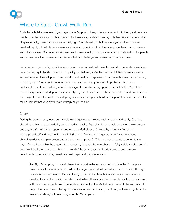

### <span id="page-8-0"></span>Where to Start - Crawl. Walk. Run.

Scale helps build awareness of your organization's opportunities, drive engagement with them, and generate insights into the relationships thus created. To these ends, Scale's power lay in its flexibility and extensibility. Unquestionably, there's a great deal of utility right "out-of-the-box", but the more you explore Scale and creatively apply it to additional elements and facets of your institution, the more you unleash its robustness and ultimate value. Of course, as with any new business tool, your implementation of Scale will involve people and processes – the "human factors" issues that can challenge and even compromise success.

Because our objective is *your* ultimate success, we've learned that projects may fail or generate resentment because they try to tackle too much too quickly. To that end, we've learned that InfoReady users are most successful when they adopt an incremental "crawl, walk, run" approach to implementation – that is, viewing technologies as *tools to help support success* rather than simply solutions to problems. While your implementation of Scale will begin with its configuration and creating opportunities within the Marketplace, overarching success will depend on your ability to generate excitement about, support for, and awareness of your project across the institution. Adopting an incremental approach will best support that success, so let's take a look at what your crawl, walk strategy might look like.

### Crawl

During the *crawl* phase, focus on immediate changes you can execute fairly quickly and easily. Changes should be within (or closely within) your authority to make. Typically, the emphasis here is on the *discovery*  and *organization* of existing opportunities into your Marketplace, followed by the *promotion* of the Marketplace itself and opportunities within it (For Workflow users, we generally don't recommended changing existing complex processes during the crawl phase.). This progression starts to generate the buy-in from others within the organization necessary to reach the *walk* phase – *highly* visible results seem to be a great motivator!). With that buy-in, the end of the crawl phase is the ideal time to engage *core*  constituents to get feedback, reevaluate next steps, and prepare to walk.

Pro Tip: It's tempting to try and plan out *all* opportunities you want to include in the Marketplace, how you want them to be organized, and how you want individuals to be able to find each through Scale's Advanced Search. It's best, though, to avoid that temptation and create quick wins by creating tiles for the most immediate opportunities. Then share the Marketplace with your team and with select constituents. You'll generate excitement as the Marketplace ceases to be an idea and begins to come to life. Offering opportunities for feedback is important, too, as these insights will be invaluable when you begin to organize the Marketplace.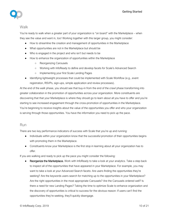

### Walk

You're ready to walk when a greater part of your organization is "on board" with the Marketplace – when they see the value and want in, too! Working together with this larger group, you might consider:

- How to streamline the creation and management of opportunities in the Marketplace
- What opportunities are not in the Marketplace but should be
- Who is engaged in the project and who isn't but needs to be
- How to enhance the organization of opportunities within the Marketplace
	- Reorganizing Carousels
	- Working with InfoReady to define and develop facets for Scale's Advanced Search
	- Implementing your first Scale Landing Pages
- Identifying lightweight processes that could be implemented with Scale Workflow (e.g., event registration, RSVPs, sign-ups, simple application and review processes).

At the end of the *walk* phase, you should see that buy-in from the end of the *crawl* phase transforming into greater collaboration in the promotion of opportunities across your organization. More constituents are discovering that that your Marketplace is where they should go to learn about all you have to offer and you're starting to see increased engagement through the cross-promotion of opportunities in the Marketplace. You're beginning to receive insights about the value of the opportunities you offer and who your organization is serving through those opportunities. You have the information you need to pick up the pace.

### Run

There are two key performance indicators of success with Scale that you're up and running:

- Individuals within your organization know that the successful promotion of their opportunities begins with promoting them in the Marketplace.
- Constituents know your Marketplace is the first stop in learning about all your organization has to offer.

If you are walking and ready to pick up the pace you might consider the following:

**Reorganize the Marketplace.** Work with InfoReady to take a look at your analytics. Take a step back to inspect all of the opportunities that have appeared in your Marketplace. For example, you may want to take a look at your Advanced Search facets: Are users finding the opportunities they're seeking? Are the keywords users search for matching up to the opportunities in your Marketplace? Are the right opportunities in the most appropriate Carousels? Are the Carousels ordered well? Is there a need for new Landing Pages? Taking the time to optimize Scale to enhance organization and the discovery of opportunities is critical to success for the obvious reason: If users can't find the opportunities they're seeking, they'll quickly disengage.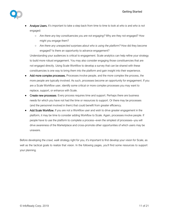

- Analyze Users. It's important to take a step back from time to time to look at *who is* and *who is not*  engaged:
	- *Are there any key constituencies you are not engaging?* Why are they not engaged? How might you engage them?
	- *Are there any unexpected surprises about who is using the platform?* How did they become engaged? Is there an opportunity to advance engagement?

Understanding your audiences is critical to engagement. Scale analytics can help refine your strategy to build more robust engagement. You may also consider engaging those constituencies that are not engaged directly. Using Scale Workflow to develop a survey that can be shared with these constituencies is one way to bring them into the platform and gain insight into their experience.

- Add more complex processes. Processes involve people, and the more complex the process, the more people are typically involved. As such, processes become an opportunity for engagement. If you are a Scale Workflow user, identify some critical or more complex processes you may want to replace, support, or enhance with Scale.
- Create new processes. Every process requires time and support. Perhaps there are business needs for which you have not had the time or resources to support. Or there may be processes (and the personnel involved in them) that could benefit from greater efficiency.
- Add Scale Workflow. If you are not a Workflow user and wish to drive greater engagement in the platform, it may be time to consider adding Workflow to Scale. Again, processes involve people. If people have to use the platform to complete a process--even the simplest of processes--you will drive awareness of the Marketplace and cross-promote other opportunities of which users may be unaware.

Before developing the *crawl, walk* strategy right for you, it's important to first develop your vision for Scale, as well as the tactical goals to realize that vision. In the following pages, you'll find some resources to support your planning.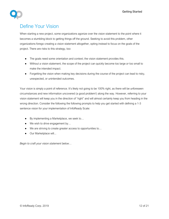# <span id="page-11-0"></span>Define Your Vision

When starting a new project, some organizations agonize over the vision statement to the point where it becomes a stumbling block to getting things off the ground. Seeking to avoid this problem, other organizations forego creating a vision statement altogether, opting instead to focus on the goals of the project. There are risks to this strategy, too:

- The goals need some orientation and context; the vision statement provides this.
- Without a vision statement, the scope of the project can quickly become too large *or* too small to make the intended impact.
- Forgetting the vision when making key decisions during the course of the project can lead to risky, unexpected, or unintended outcomes.

Your vision is simply a point of reference. It's likely not going to be 100% right, as there will be unforeseen circumstances and new information uncovered (a good problem!) along the way. However, referring to your vision statement will keep you in the direction of "right" and will almost certainly keep you from heading in the wrong direction. Consider the following the following prompts to help you get started with defining a 1-3 sentence vision for your implementation of InfoReady Scale:

- By implementing a Marketplace, we seek to...
- We wish to drive engagement by...
- We are striving to create greater access to opportunities to...
- Our Marketplace will...

*Begin to craft your vision statement below…*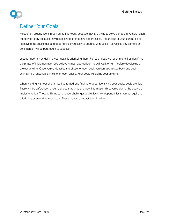# <span id="page-12-0"></span>Define Your Goals

Most often, organizations reach out to InfoReady because they are trying to solve a problem. Others reach out to InfoReady because they're seeking to create new opportunities. Regardless of your starting point, identifying the challenges and opportunities you seek to address with Scale – as well as any barriers or constraints – will be paramount to success.

Just as important as defining your goals is prioritizing them. For each goal, we recommend first identifying the phase of implementation you believe is most appropriate – crawl, walk or run – before developing a project timeline. Once you've identified the phase for each goal, you can take a step back and begin estimating a reasonable timeline for each phase. Your goals will define your timeline.

When working with our clients, we like to add one final note about identifying your goals: goals are fluid. There will be unforeseen circumstances that arise and new information discovered during the course of implementation. These will bring to light new challenges and unlock new opportunities that may require reprioritizing or amending your goals. These may also impact your timeline.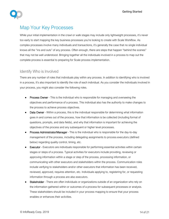

# <span id="page-13-0"></span>Map Your Key Processes

While your initial implementation in the crawl or walk stages may include only lightweight processes, it's never too early to start mapping the key business processes you're looking to create with Scale Workflow. As complex processes involve many individuals and transactions, it's generally the case that no single individual knows all the "ins and outs" of any process. Often enough, there are steps that happen "behind the scenes" that may not be well understood. Bringing together all the individuals involved in a process to map out the complete process is essential to preparing for Scale process implementation.

### Identify Who is Involved

There are any number of roles that individuals play within any process. In addition to identifying who is involved in a process, it's also important to identify the role of each individual. As you consider the individuals involved in your process, you might also consider the following roles.

- Process Owner This is the individual who is responsible for managing and overseeing the objectives and performance of a process. This individual also has the authority to make changes to the process to achieve process objectives.
- Data Owner Within a process, this is the individual responsible for determining what information goes in and comes out of the process, how that information is be collected (including format of questions, prompts, and data fields), and why that information is important for achieving the objectives of the process and any subsequent or higher level processes.
- Process Administrator/Manager This is the individual who is responsible for the day-to-day management of the process, including delegating assignments to process executors (defined below) regarding quality control, timing, etc.
- **Executor -** Executors are individuals responsible for performing essential activities within certain stages or steps of a process. Typical activities for executors include providing, reviewing or approving information within a stage or step of the process, processing information, or communicating with other executors and stakeholders within the process. Communication roles include verifying to stakeholders and/or other executors that information has been received, reviewed, approved, requires attention, etc. Individuals applying to, registering for, or requesting information through a process are also executors.
- Stakeholder There are often individuals or organizations outside of an organization who rely on the information gathered within or outcomes of a process for subsequent processes or analysis. These stakeholders should be included in your process mapping to ensure that your process enables or enhances their activities.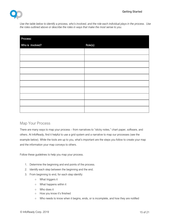

*Use the table below to identify a process, who's involved, and the role each individual plays in the process. Use the roles outlined above or describe the roles in ways that make the most sense to you.*

| Process:         |          |
|------------------|----------|
| Who is involved? | Role(s): |
|                  |          |
|                  |          |
|                  |          |
|                  |          |
|                  |          |
|                  |          |
|                  |          |
|                  |          |
|                  |          |
|                  |          |

### Map Your Process

There are many ways to map your process – from narratives to "sticky notes," chart paper, software, and others. At InfoReady, find it helpful to use a grid system and a narrative to map our processes (see the example below). While the tools are up to you, what's important are the steps you follow to create your map and the information your map conveys to others.

Follow these guidelines to help you map your process.

- 1. Determine the beginning and end points of the process.
- 2. Identify each step between the beginning and the end.
- 3. From beginning to end, for each step identify:
	- What triggers it
	- What happens within it
	- Who does it
	- How you know it's finished
	- Who needs to know when it begins, ends, or is incomplete, and how they are notified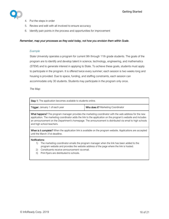

- 4. Put the steps in order
- 5. Review and edit with all involved to ensure accuracy
- 6. Identify pain points in the process and opportunities for improvement

#### *Remember, map your processes as they exist today, not how you envision them within Scale*.

#### *Example*

State University operates a program for current 9th through 11th grade students. The goals of the program are to identify and develop talent in science, technology, engineering, and mathematics (STEM) and to generate interest in applying to State. To achieve these goals, students must apply to participate in the program. It is offered twice every summer; each session is two weeks long and housing is provided. Due to space, funding, and staffing constraints, each session can accommodate only 30 students. Students may participate in the program only once.

*The Map*

| <b>Step 1:</b> The application becomes available to students online. |                                    |  |  |
|----------------------------------------------------------------------|------------------------------------|--|--|
| <b>Trigger:</b> January 1 of each year                               | Who does it? Marketing Coordinator |  |  |
|                                                                      |                                    |  |  |

What happens? The program manager provides the marketing coordinator with the web address for the new application. The marketing coordinator adds the link to the application on the program's website and includes an announcement on the Department's homepage. The announcement is distributed via email to high schools and high school teachers.

When is it complete? When the application link is available on the program website. Applications are accepted until the March 31st deadline.

#### Notifications:

- 1) The marketing coordinator emails the program manager when the link has been added to the program website and provides the website address of the page where the link is hosted.
- 2) Constituents receive announcement via email.
- 3) Print flyers are distributed to schools.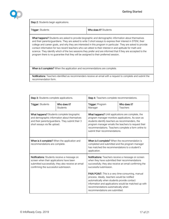Step 2: Students begin applications.

Trigger: Students Who does it? Students

I

What happens? Students are asked to provide biographic and demographic information about themselves and their parents/guardians. They are asked to write 3 short essays to express their interest in STEM, their college and career goals, and why they are interested in this program in particular. They are asked to provide contact information for two recent teachers who can attest to their interest in and aptitude for math and science. They identify which of the two sessions they prefer and are informed that if they are accepted to the program there is no guarantee that they will be assigned to their preferred session.

When is it complete? When the application and recommendations are complete.

Notifications: Teachers identified as recommenders receive an email with a request to complete and submit the recommendation form.

| Step 3: Students complete applications.                                                                                                                                                        |                                 | Step 4: Teachers complete recommendations.                                                                                                                                                                                                                                                                        |                          |
|------------------------------------------------------------------------------------------------------------------------------------------------------------------------------------------------|---------------------------------|-------------------------------------------------------------------------------------------------------------------------------------------------------------------------------------------------------------------------------------------------------------------------------------------------------------------|--------------------------|
| <b>Trigger: Students</b>                                                                                                                                                                       | Who does it?<br><b>Students</b> | Trigger: Program<br>Manager                                                                                                                                                                                                                                                                                       | Who does it?<br>Teachers |
| <b>What happens?</b> Students complete biographic<br>and demographic information about themselves<br>and their parents/guardians. They submit their 3<br>short essays via file upload.         |                                 | <b>What happens?</b> Until applications are complete, the<br>program manager monitors applications. As soon as<br>students identify teachers as recommenders, the<br>program manager emails the teachers to request their<br>recommendations. Teachers complete a form online to<br>submit their recommendations. |                          |
| When is it complete? When the application and<br>recommendations are complete.                                                                                                                 |                                 | When is it complete? When the recommendation is<br>completed and submitted and the program manager<br>has matched the recommendations to a student's<br>application.                                                                                                                                              |                          |
| <b>Notifications:</b> Students receive a message on<br>screen when their applications have been<br>submitted successfully; they also receive an email<br>confirming the successful submission. |                                 | <b>Notifications:</b> Teachers receive a message on screen<br>when they have submitted their recommendations<br>successfully; they also receive an email confirming the<br>successful submission.                                                                                                                 |                          |
|                                                                                                                                                                                                |                                 | <b>PAIN POINT:</b> This is a very time-consuming, manual<br>process. Ideally, teachers would be notified<br>automatically when students provide contact<br>information and applications would be matched up with<br>recommendations automatically when<br>recommendations are submitted.                          |                          |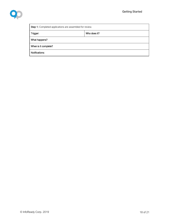

| <b>Step 1:</b> Completed applications are assembled for review. |              |  |
|-----------------------------------------------------------------|--------------|--|
| Trigger:                                                        | Who does it? |  |
| What happens?                                                   |              |  |
| When is it complete?                                            |              |  |
| Notifications:                                                  |              |  |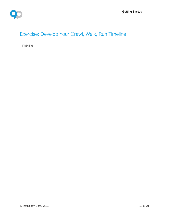# <span id="page-18-0"></span>Exercise: Develop Your Crawl, Walk, Run Timeline

**Timeline**